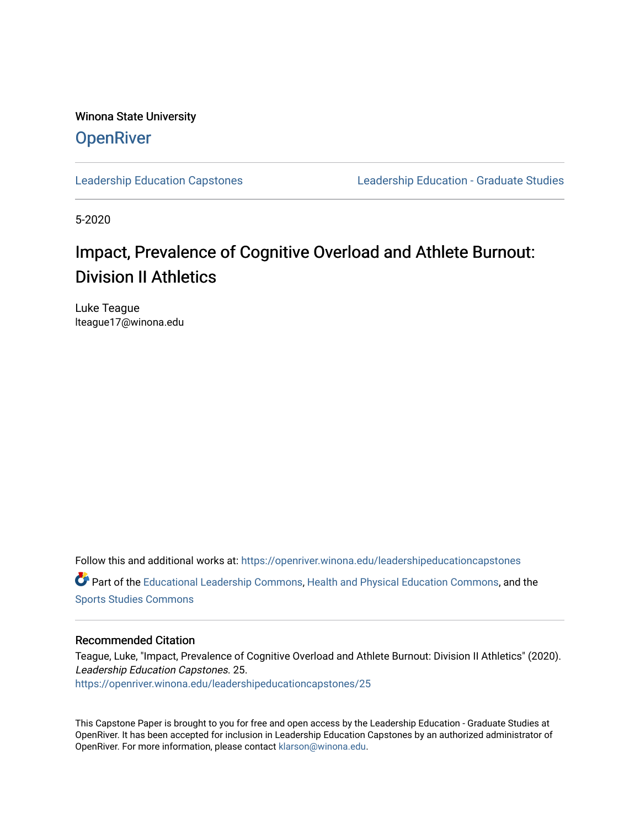Winona State University **OpenRiver** 

[Leadership Education Capstones](https://openriver.winona.edu/leadershipeducationcapstones) [Leadership Education - Graduate Studies](https://openriver.winona.edu/leadershipeducation) 

5-2020

#### Impact, Prevalence of Cognitive Overload and Athlete Burnout: Division II Athletics

Luke Teague lteague17@winona.edu

Follow this and additional works at: [https://openriver.winona.edu/leadershipeducationcapstones](https://openriver.winona.edu/leadershipeducationcapstones?utm_source=openriver.winona.edu%2Fleadershipeducationcapstones%2F25&utm_medium=PDF&utm_campaign=PDFCoverPages)  Part of the [Educational Leadership Commons,](http://network.bepress.com/hgg/discipline/1230?utm_source=openriver.winona.edu%2Fleadershipeducationcapstones%2F25&utm_medium=PDF&utm_campaign=PDFCoverPages) [Health and Physical Education Commons](http://network.bepress.com/hgg/discipline/1327?utm_source=openriver.winona.edu%2Fleadershipeducationcapstones%2F25&utm_medium=PDF&utm_campaign=PDFCoverPages), and the [Sports Studies Commons](http://network.bepress.com/hgg/discipline/1198?utm_source=openriver.winona.edu%2Fleadershipeducationcapstones%2F25&utm_medium=PDF&utm_campaign=PDFCoverPages) 

#### Recommended Citation

Teague, Luke, "Impact, Prevalence of Cognitive Overload and Athlete Burnout: Division II Athletics" (2020). Leadership Education Capstones. 25. [https://openriver.winona.edu/leadershipeducationcapstones/25](https://openriver.winona.edu/leadershipeducationcapstones/25?utm_source=openriver.winona.edu%2Fleadershipeducationcapstones%2F25&utm_medium=PDF&utm_campaign=PDFCoverPages) 

This Capstone Paper is brought to you for free and open access by the Leadership Education - Graduate Studies at OpenRiver. It has been accepted for inclusion in Leadership Education Capstones by an authorized administrator of OpenRiver. For more information, please contact [klarson@winona.edu](mailto:klarson@winona.edu).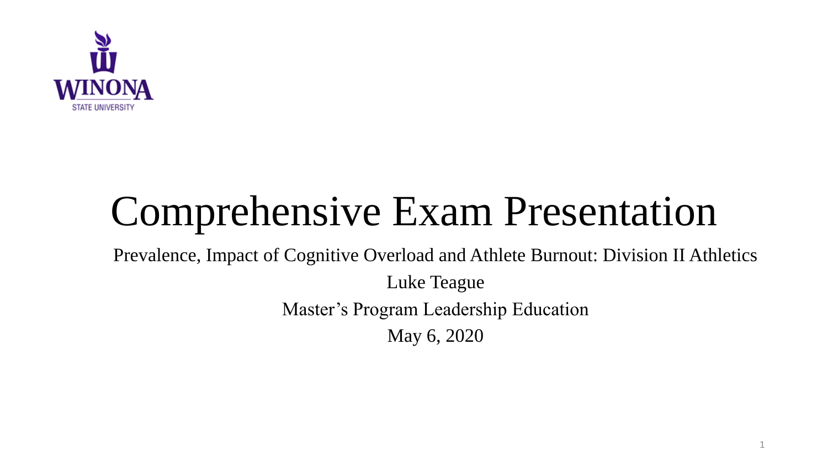

# Comprehensive Exam Presentation

Prevalence, Impact of Cognitive Overload and Athlete Burnout: Division II Athletics

Luke Teague Master's Program Leadership Education May 6, 2020

1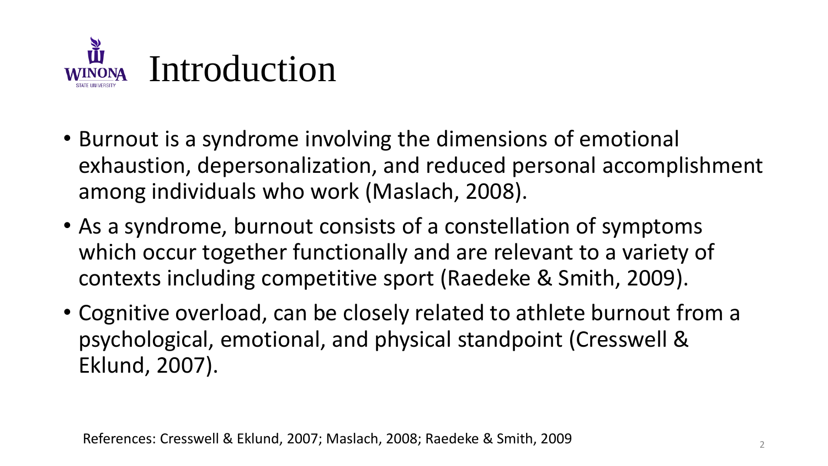

- Burnout is a syndrome involving the dimensions of emotional exhaustion, depersonalization, and reduced personal accomplishment among individuals who work (Maslach, 2008).
- As a syndrome, burnout consists of a constellation of symptoms which occur together functionally and are relevant to a variety of contexts including competitive sport (Raedeke & Smith, 2009).
- Cognitive overload, can be closely related to athlete burnout from a psychological, emotional, and physical standpoint (Cresswell & Eklund, 2007).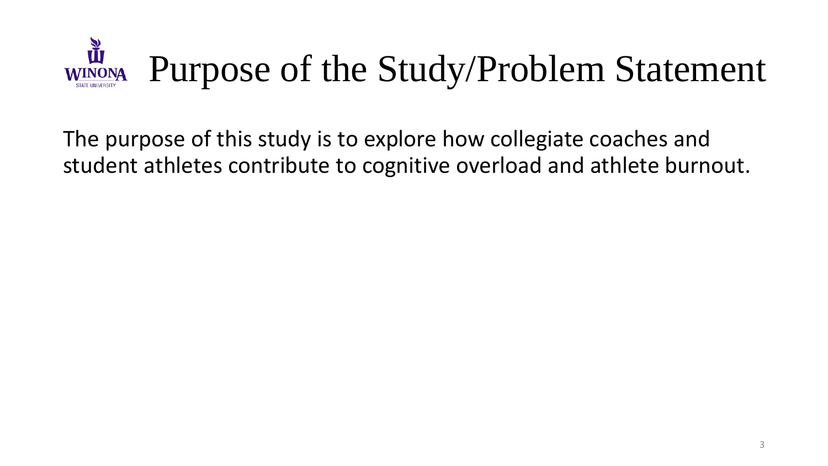

The purpose of this study is to explore how collegiate coaches and student athletes contribute to cognitive overload and athlete burnout.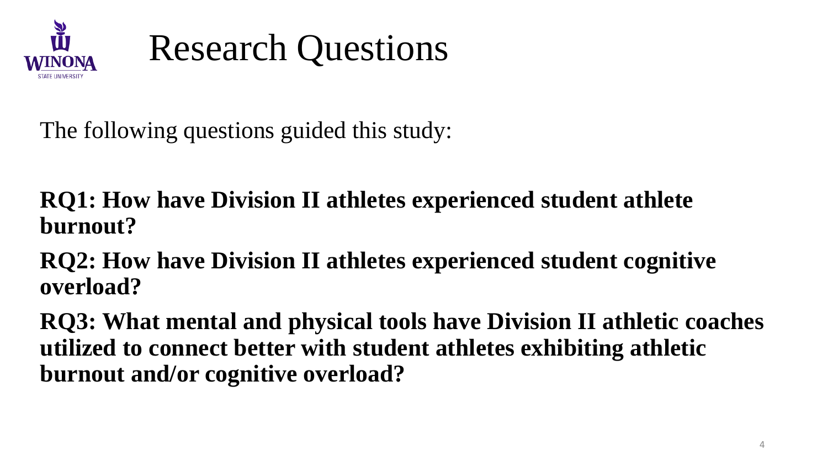

#### Research Questions

The following questions guided this study:

**RQ1: How have Division II athletes experienced student athlete burnout?**

**RQ2: How have Division II athletes experienced student cognitive overload?**

**RQ3: What mental and physical tools have Division II athletic coaches utilized to connect better with student athletes exhibiting athletic burnout and/or cognitive overload?**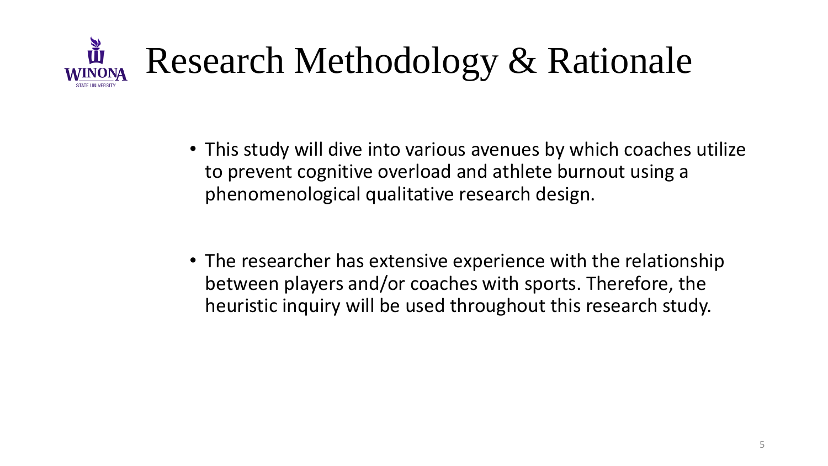

- This study will dive into various avenues by which coaches utilize to prevent cognitive overload and athlete burnout using a phenomenological qualitative research design.
- The researcher has extensive experience with the relationship between players and/or coaches with sports. Therefore, the heuristic inquiry will be used throughout this research study.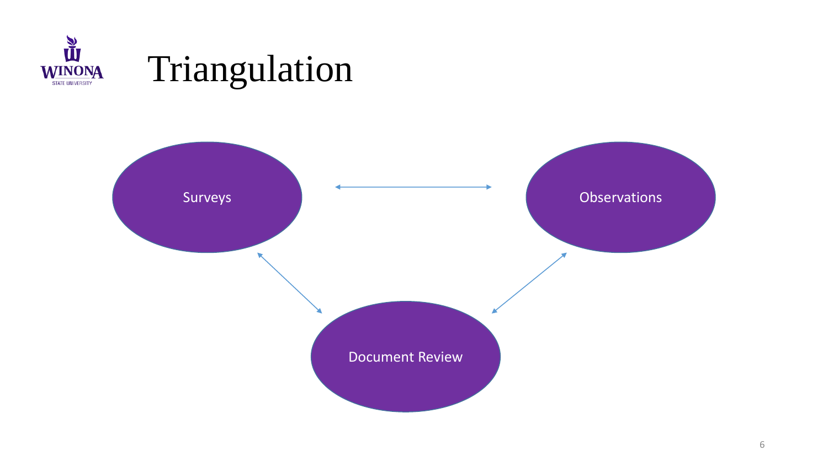

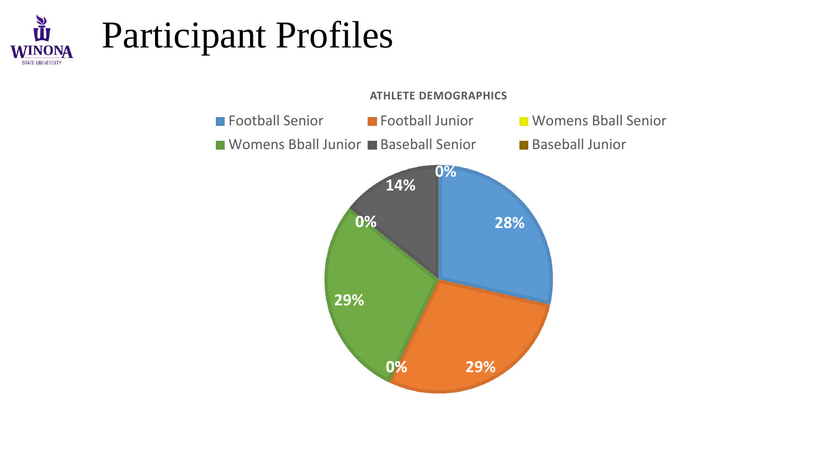

## Participant Profiles

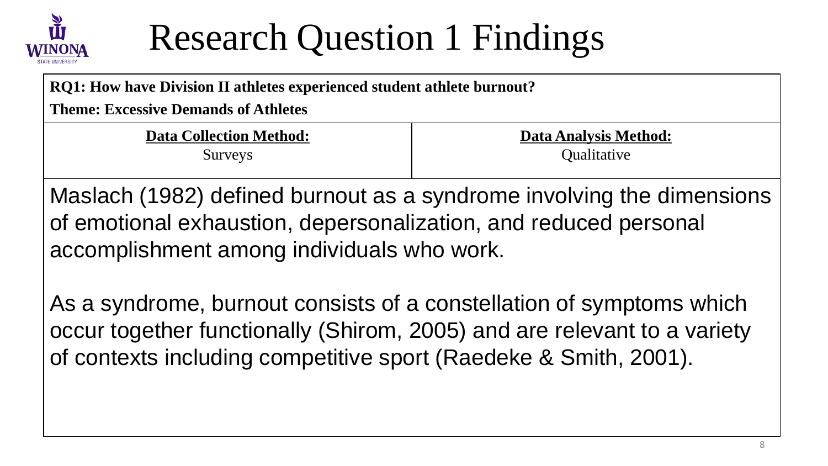

#### Research Question 1 Findings

**RQ1: How have Division II athletes experienced student athlete burnout?**

**Theme: Excessive Demands of Athletes** 

**Data Collection Method:** Surveys

**Data Analysis Method: Qualitative** 

Maslach (1982) defined burnout as a syndrome involving the dimensions of emotional exhaustion, depersonalization, and reduced personal accomplishment among individuals who work.

As a syndrome, burnout consists of a constellation of symptoms which occur together functionally (Shirom, 2005) and are relevant to a variety of contexts including competitive sport (Raedeke & Smith, 2001).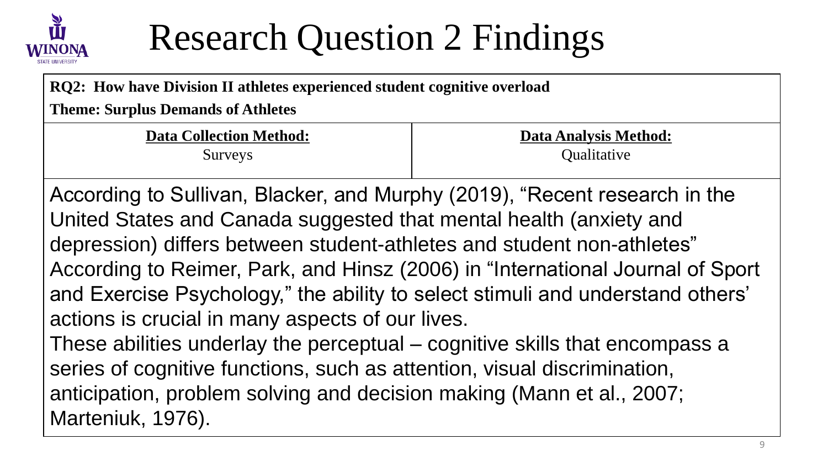

#### Research Question 2 Findings

| RQ2: How have Division II athletes experienced student cognitive overload<br><b>Theme: Surplus Demands of Athletes</b>                           |  |
|--------------------------------------------------------------------------------------------------------------------------------------------------|--|
|                                                                                                                                                  |  |
| According to Sullivan, Blacker, and Murphy (2019), "Recent research in the<br>United States and Canada suggested that mental health (anxiety and |  |

United States and Canada suggested that mental health (anxiety and depression) differs between student-athletes and student non-athletes" According to Reimer, Park, and Hinsz (2006) in "International Journal of Sport and Exercise Psychology," the ability to select stimuli and understand others' actions is crucial in many aspects of our lives.

These abilities underlay the perceptual – cognitive skills that encompass a series of cognitive functions, such as attention, visual discrimination, anticipation, problem solving and decision making (Mann et al., 2007; Marteniuk, 1976).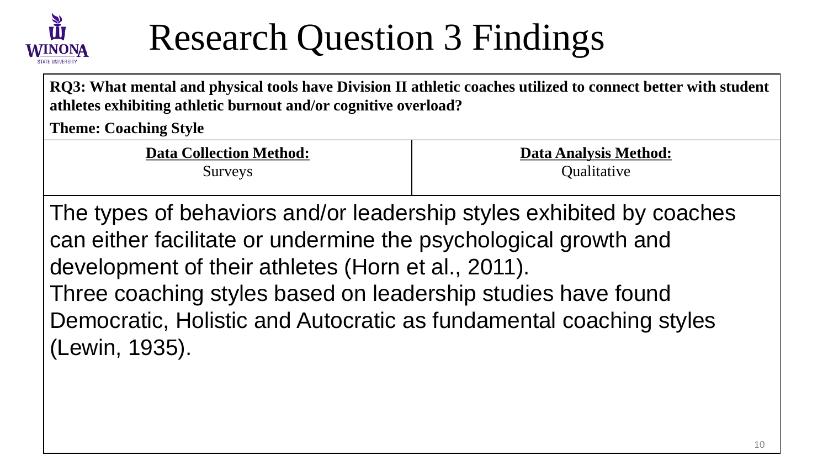

#### Research Question 3 Findings

**RQ3: What mental and physical tools have Division II athletic coaches utilized to connect better with student athletes exhibiting athletic burnout and/or cognitive overload?**

**Theme: Coaching Style**

**Data Collection Method:**

Surveys

**Data Analysis Method: Qualitative** 

The types of behaviors and/or leadership styles exhibited by coaches can either facilitate or undermine the psychological growth and development of their athletes (Horn et al., 2011). Three coaching styles based on leadership studies have found Democratic, Holistic and Autocratic as fundamental coaching styles (Lewin, 1935).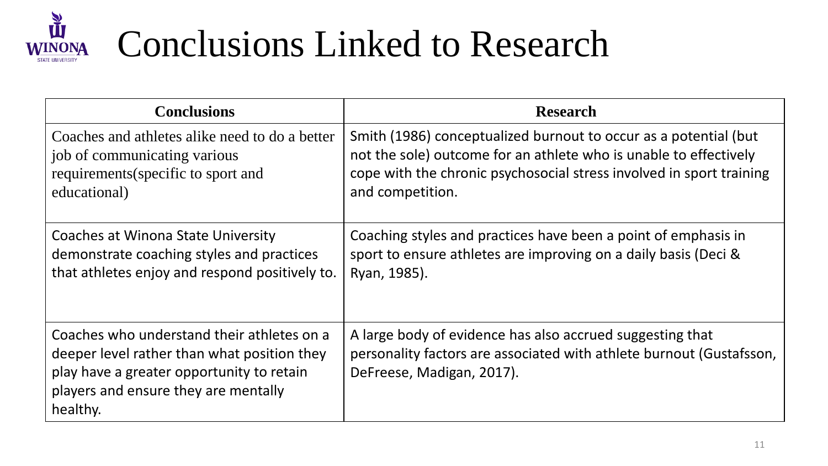

## Conclusions Linked to Research

| <b>Conclusions</b>                                                                                                                                                                         | <b>Research</b>                                                                                                                                                |
|--------------------------------------------------------------------------------------------------------------------------------------------------------------------------------------------|----------------------------------------------------------------------------------------------------------------------------------------------------------------|
| Coaches and athletes alike need to do a better                                                                                                                                             | Smith (1986) conceptualized burnout to occur as a potential (but                                                                                               |
| job of communicating various                                                                                                                                                               | not the sole) outcome for an athlete who is unable to effectively                                                                                              |
| requirements (specific to sport and                                                                                                                                                        | cope with the chronic psychosocial stress involved in sport training                                                                                           |
| educational)                                                                                                                                                                               | and competition.                                                                                                                                               |
| Coaches at Winona State University                                                                                                                                                         | Coaching styles and practices have been a point of emphasis in                                                                                                 |
| demonstrate coaching styles and practices                                                                                                                                                  | sport to ensure athletes are improving on a daily basis (Deci &                                                                                                |
| that athletes enjoy and respond positively to.                                                                                                                                             | Ryan, 1985).                                                                                                                                                   |
| Coaches who understand their athletes on a<br>deeper level rather than what position they<br>play have a greater opportunity to retain<br>players and ensure they are mentally<br>healthy. | A large body of evidence has also accrued suggesting that<br>personality factors are associated with athlete burnout (Gustafsson,<br>DeFreese, Madigan, 2017). |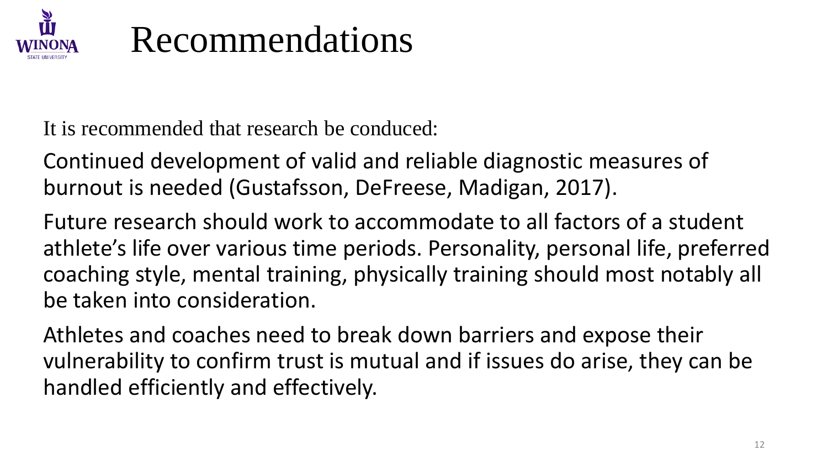

#### Recommendations

It is recommended that research be conduced:

Continued development of valid and reliable diagnostic measures of burnout is needed (Gustafsson, DeFreese, Madigan, 2017).

Future research should work to accommodate to all factors of a student athlete's life over various time periods. Personality, personal life, preferred coaching style, mental training, physically training should most notably all be taken into consideration.

Athletes and coaches need to break down barriers and expose their vulnerability to confirm trust is mutual and if issues do arise, they can be handled efficiently and effectively.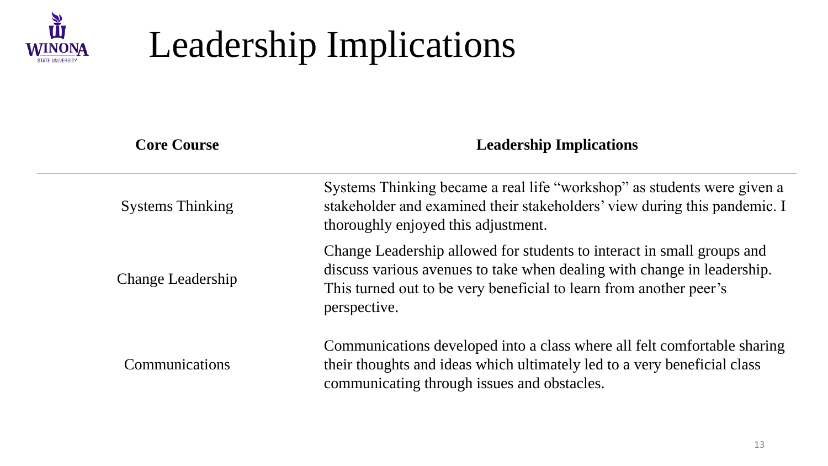

## Leadership Implications

| <b>Core Course</b>       | <b>Leadership Implications</b>                                                                                                                                                                                                          |
|--------------------------|-----------------------------------------------------------------------------------------------------------------------------------------------------------------------------------------------------------------------------------------|
| <b>Systems Thinking</b>  | Systems Thinking became a real life "workshop" as students were given a<br>stakeholder and examined their stakeholders' view during this pandemic. I<br>thoroughly enjoyed this adjustment.                                             |
| <b>Change Leadership</b> | Change Leadership allowed for students to interact in small groups and<br>discuss various avenues to take when dealing with change in leadership.<br>This turned out to be very beneficial to learn from another peer's<br>perspective. |
| Communications           | Communications developed into a class where all felt comfortable sharing<br>their thoughts and ideas which ultimately led to a very beneficial class<br>communicating through issues and obstacles.                                     |